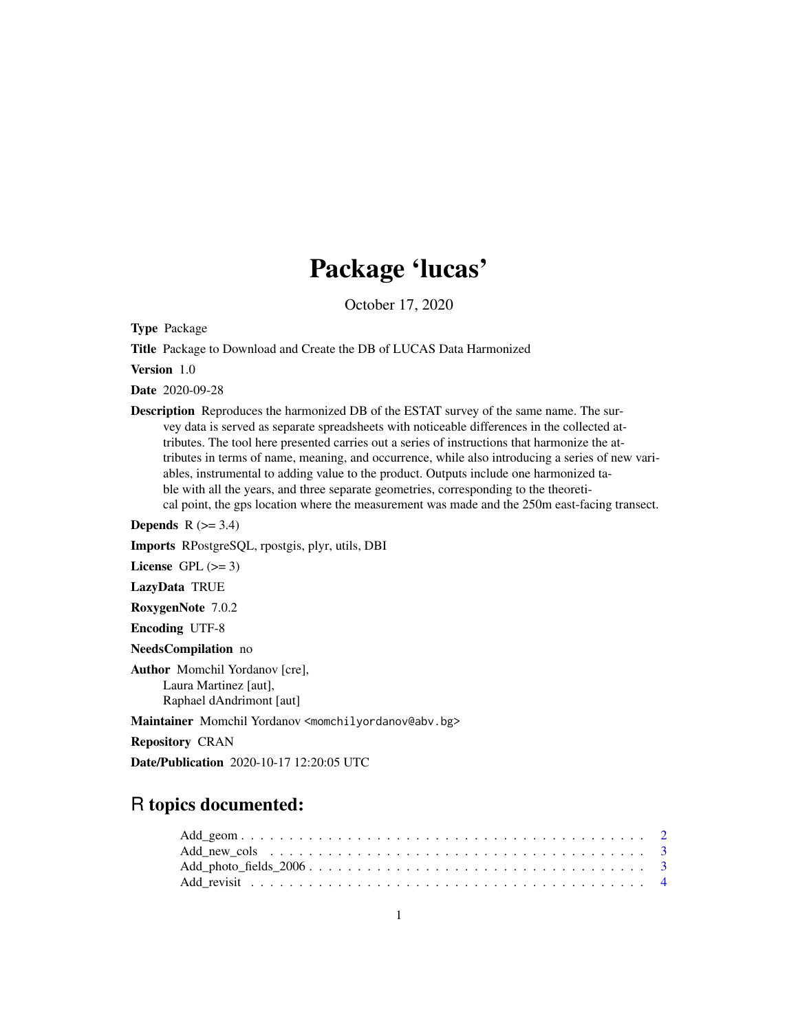# Package 'lucas'

October 17, 2020

Type Package

Title Package to Download and Create the DB of LUCAS Data Harmonized

Version 1.0

Date 2020-09-28

Description Reproduces the harmonized DB of the ESTAT survey of the same name. The survey data is served as separate spreadsheets with noticeable differences in the collected attributes. The tool here presented carries out a series of instructions that harmonize the attributes in terms of name, meaning, and occurrence, while also introducing a series of new variables, instrumental to adding value to the product. Outputs include one harmonized table with all the years, and three separate geometries, corresponding to the theoretical point, the gps location where the measurement was made and the 250m east-facing transect.

**Depends**  $R$  ( $>= 3.4$ )

Imports RPostgreSQL, rpostgis, plyr, utils, DBI

License GPL  $(>= 3)$ 

LazyData TRUE

RoxygenNote 7.0.2

Encoding UTF-8

NeedsCompilation no

Author Momchil Yordanov [cre], Laura Martinez [aut], Raphael dAndrimont [aut]

Maintainer Momchil Yordanov <momchilyordanov@abv.bg>

Repository CRAN

Date/Publication 2020-10-17 12:20:05 UTC

# R topics documented: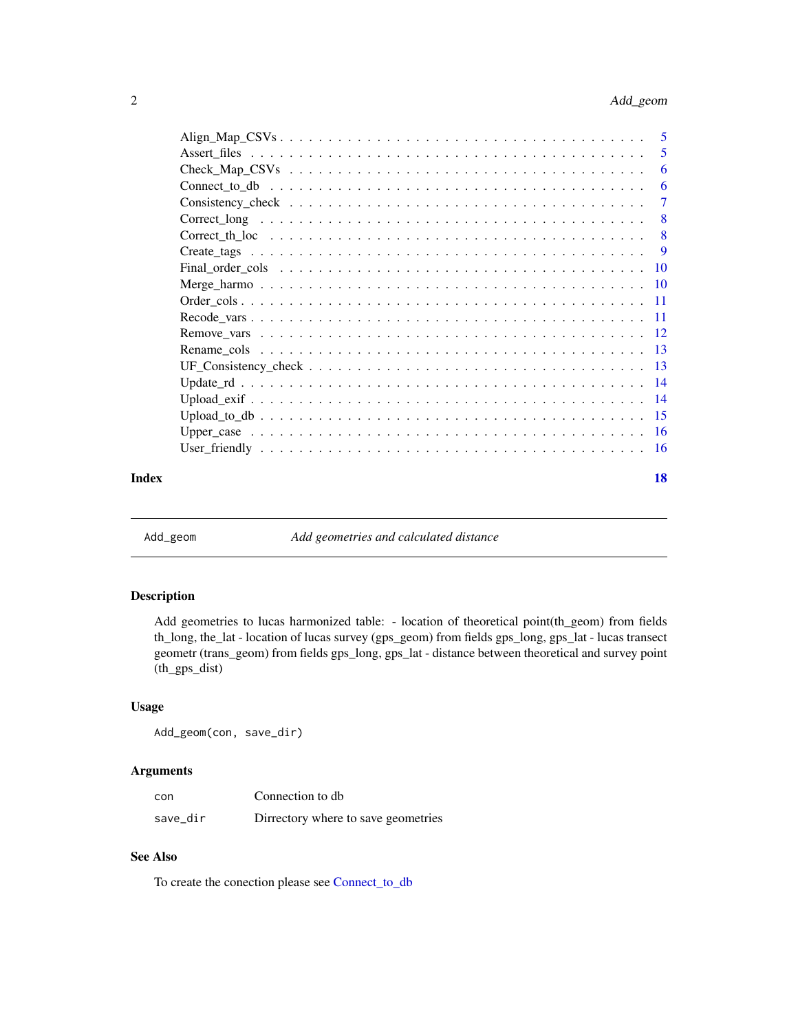<span id="page-1-0"></span>

|       | -6                        |
|-------|---------------------------|
|       |                           |
|       | $\overline{\phantom{0}}8$ |
|       |                           |
|       | - 9                       |
|       |                           |
|       |                           |
|       |                           |
|       |                           |
|       |                           |
|       |                           |
|       |                           |
|       |                           |
|       |                           |
|       |                           |
|       |                           |
|       |                           |
| Index | 18                        |

Add\_geom *Add geometries and calculated distance*

#### Description

Add geometries to lucas harmonized table: - location of theoretical point(th\_geom) from fields th\_long, the\_lat - location of lucas survey (gps\_geom) from fields gps\_long, gps\_lat - lucas transect geometr (trans\_geom) from fields gps\_long, gps\_lat - distance between theoretical and survey point (th\_gps\_dist)

# Usage

Add\_geom(con, save\_dir)

# Arguments

| con      | Connection to db                    |
|----------|-------------------------------------|
| save_dir | Dirrectory where to save geometries |

# See Also

To create the conection please see [Connect\\_to\\_db](#page-5-1)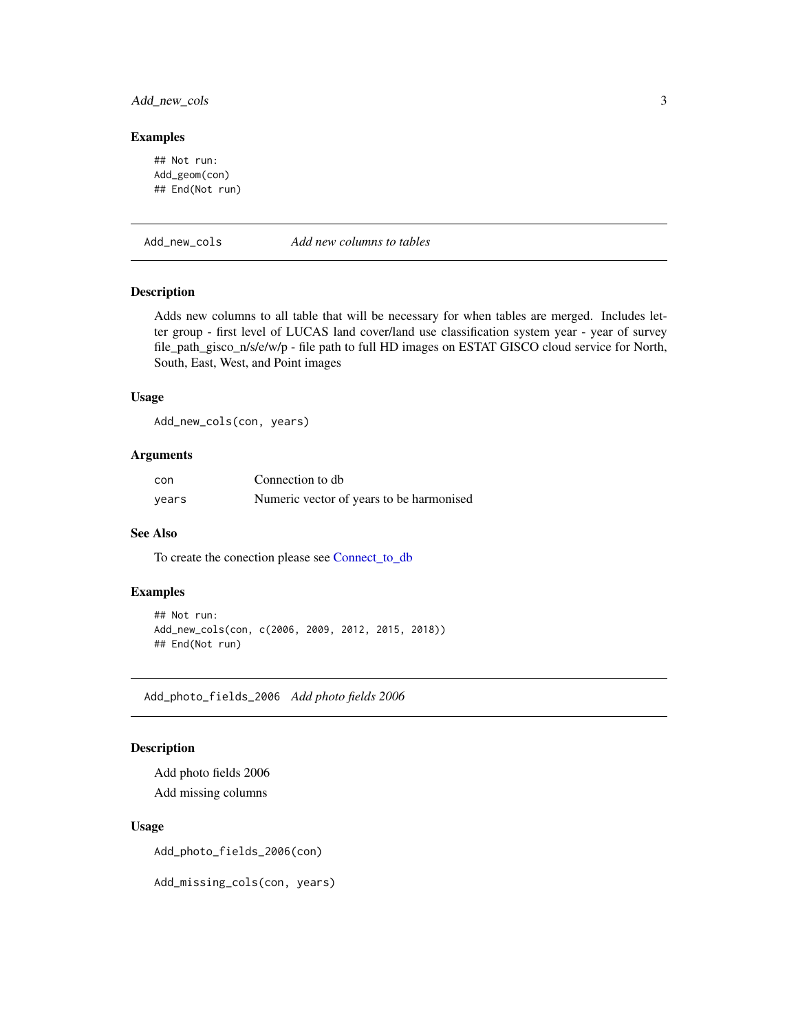# <span id="page-2-0"></span>Add\_new\_cols 3

#### Examples

## Not run: Add\_geom(con) ## End(Not run)

Add\_new\_cols *Add new columns to tables*

#### Description

Adds new columns to all table that will be necessary for when tables are merged. Includes letter group - first level of LUCAS land cover/land use classification system year - year of survey file\_path\_gisco\_n/s/e/w/p - file path to full HD images on ESTAT GISCO cloud service for North, South, East, West, and Point images

## Usage

Add\_new\_cols(con, years)

#### Arguments

| con   | Connection to db                         |
|-------|------------------------------------------|
| years | Numeric vector of years to be harmonised |

#### See Also

To create the conection please see [Connect\\_to\\_db](#page-5-1)

#### Examples

```
## Not run:
Add_new_cols(con, c(2006, 2009, 2012, 2015, 2018))
## End(Not run)
```
Add\_photo\_fields\_2006 *Add photo fields 2006*

#### Description

Add photo fields 2006 Add missing columns

#### Usage

Add\_photo\_fields\_2006(con)

Add\_missing\_cols(con, years)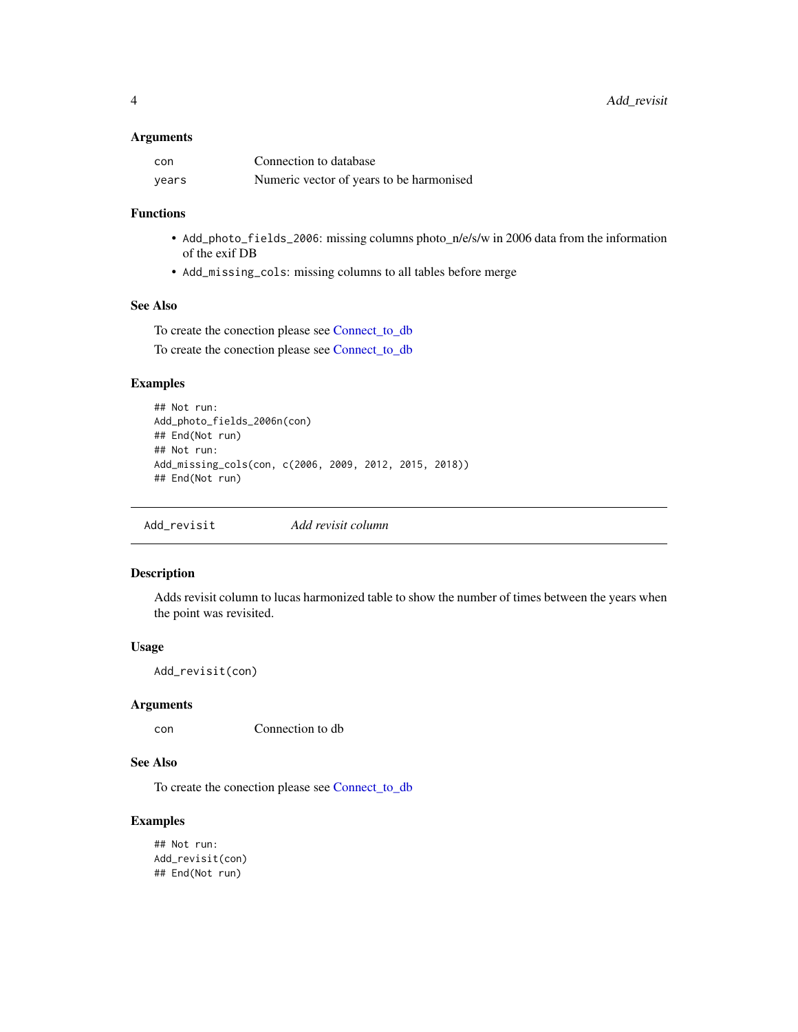## <span id="page-3-0"></span>Arguments

| con   | Connection to database                   |
|-------|------------------------------------------|
| years | Numeric vector of years to be harmonised |

# Functions

- Add\_photo\_fields\_2006: missing columns photo\_n/e/s/w in 2006 data from the information of the exif DB
- Add\_missing\_cols: missing columns to all tables before merge

## See Also

To create the conection please see [Connect\\_to\\_db](#page-5-1) To create the conection please see [Connect\\_to\\_db](#page-5-1)

# Examples

```
## Not run:
Add_photo_fields_2006n(con)
## End(Not run)
## Not run:
Add_missing_cols(con, c(2006, 2009, 2012, 2015, 2018))
## End(Not run)
```
Add\_revisit *Add revisit column*

# Description

Adds revisit column to lucas harmonized table to show the number of times between the years when the point was revisited.

#### Usage

Add\_revisit(con)

#### Arguments

con Connection to db

### See Also

To create the conection please see [Connect\\_to\\_db](#page-5-1)

```
## Not run:
Add_revisit(con)
## End(Not run)
```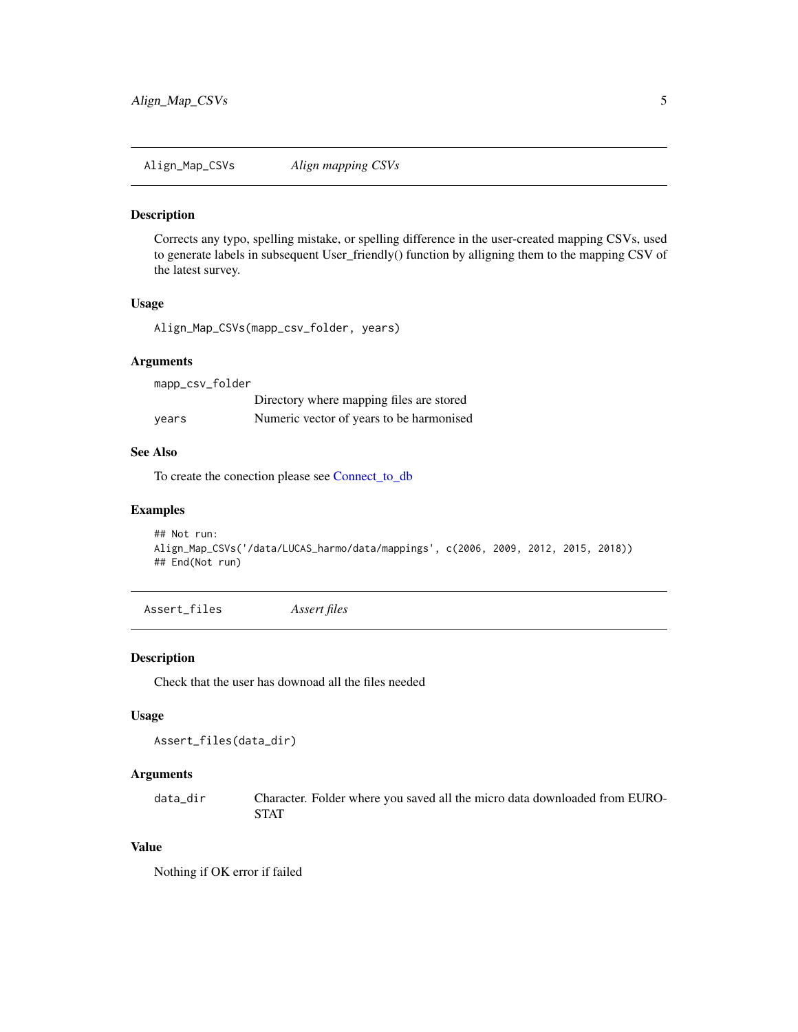<span id="page-4-0"></span>Align\_Map\_CSVs *Align mapping CSVs*

#### Description

Corrects any typo, spelling mistake, or spelling difference in the user-created mapping CSVs, used to generate labels in subsequent User\_friendly() function by alligning them to the mapping CSV of the latest survey.

#### Usage

Align\_Map\_CSVs(mapp\_csv\_folder, years)

#### Arguments

mapp\_csv\_folder

|       | Directory where mapping files are stored |
|-------|------------------------------------------|
| years | Numeric vector of years to be harmonised |

# See Also

To create the conection please see [Connect\\_to\\_db](#page-5-1)

#### Examples

```
## Not run:
Align_Map_CSVs('/data/LUCAS_harmo/data/mappings', c(2006, 2009, 2012, 2015, 2018))
## End(Not run)
```
<span id="page-4-1"></span>Assert\_files *Assert files*

# Description

Check that the user has downoad all the files needed

# Usage

```
Assert_files(data_dir)
```
# Arguments

data\_dir Character. Folder where you saved all the micro data downloaded from EURO-**STAT** 

# Value

Nothing if OK error if failed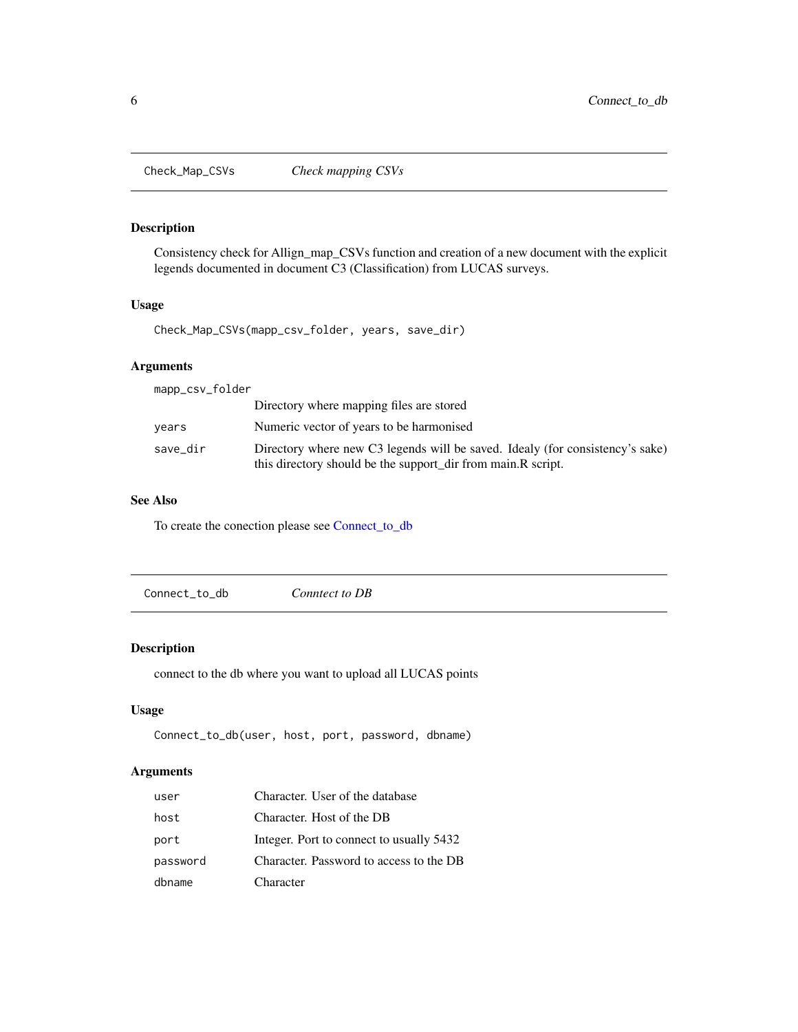<span id="page-5-0"></span>

# Description

Consistency check for Allign\_map\_CSVs function and creation of a new document with the explicit legends documented in document C3 (Classification) from LUCAS surveys.

#### Usage

Check\_Map\_CSVs(mapp\_csv\_folder, years, save\_dir)

# Arguments

| mapp_csv_folder |                                                                                                                                               |
|-----------------|-----------------------------------------------------------------------------------------------------------------------------------------------|
|                 | Directory where mapping files are stored                                                                                                      |
| vears           | Numeric vector of years to be harmonised                                                                                                      |
| save_dir        | Directory where new C3 legends will be saved. Idealy (for consistency's sake)<br>this directory should be the support_dir from main.R script. |

# See Also

To create the conection please see [Connect\\_to\\_db](#page-5-1)

<span id="page-5-1"></span>

|--|

# Description

connect to the db where you want to upload all LUCAS points

# Usage

```
Connect_to_db(user, host, port, password, dbname)
```
# Arguments

| user     | Character. User of the database          |
|----------|------------------------------------------|
| host     | Character. Host of the DB                |
| port     | Integer. Port to connect to usually 5432 |
| password | Character. Password to access to the DB  |
| dbname   | Character                                |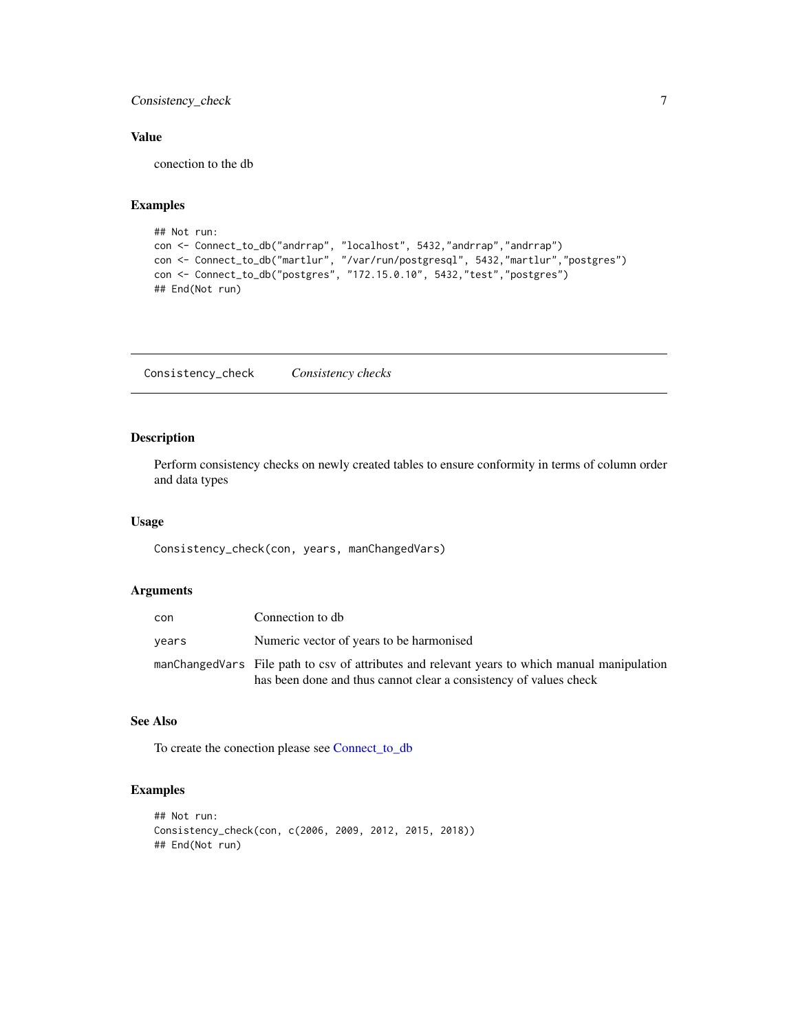<span id="page-6-0"></span>Consistency\_check 7

# Value

conection to the db

#### Examples

```
## Not run:
con <- Connect_to_db("andrrap", "localhost", 5432,"andrrap","andrrap")
con <- Connect_to_db("martlur", "/var/run/postgresql", 5432,"martlur","postgres")
con <- Connect_to_db("postgres", "172.15.0.10", 5432,"test","postgres")
## End(Not run)
```
Consistency\_check *Consistency checks*

# Description

Perform consistency checks on newly created tables to ensure conformity in terms of column order and data types

### Usage

Consistency\_check(con, years, manChangedVars)

# Arguments

| con   | Connection to db                                                                                                                                                   |
|-------|--------------------------------------------------------------------------------------------------------------------------------------------------------------------|
| years | Numeric vector of years to be harmonised                                                                                                                           |
|       | manChangedVars File path to csy of attributes and relevant years to which manual manipulation<br>has been done and thus cannot clear a consistency of values check |

# See Also

To create the conection please see [Connect\\_to\\_db](#page-5-1)

```
## Not run:
Consistency_check(con, c(2006, 2009, 2012, 2015, 2018))
## End(Not run)
```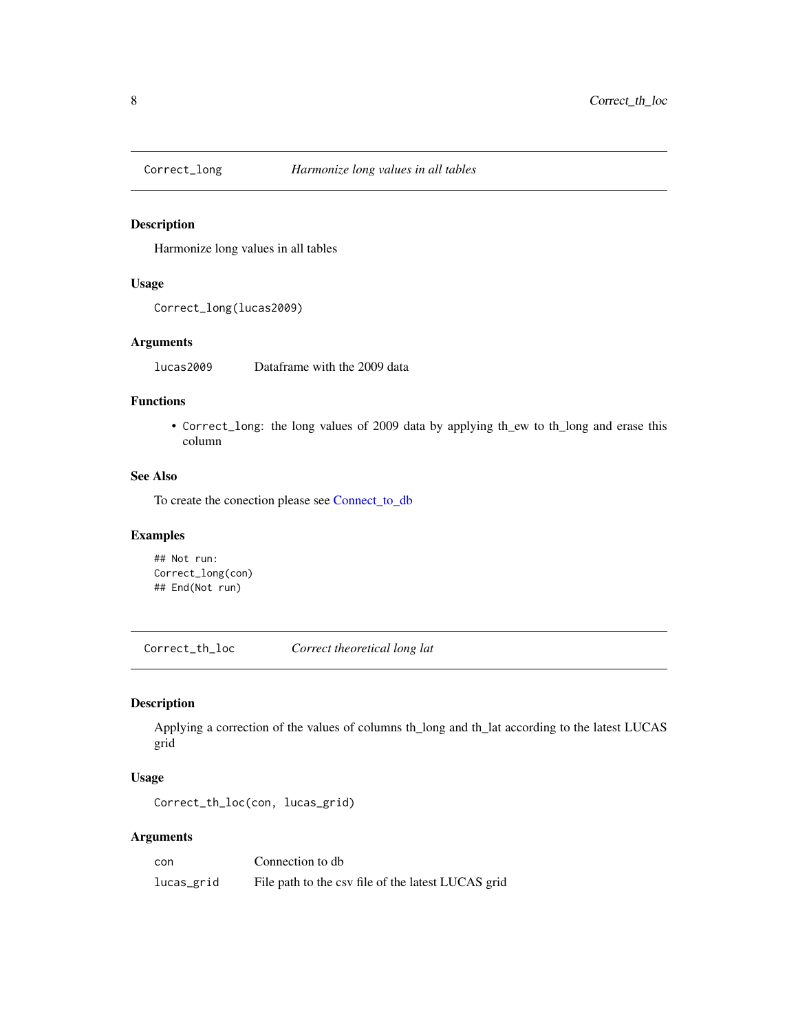<span id="page-7-0"></span>

# Description

Harmonize long values in all tables

# Usage

Correct\_long(lucas2009)

# Arguments

lucas2009 Dataframe with the 2009 data

# Functions

• Correct\_long: the long values of 2009 data by applying th\_ew to th\_long and erase this column

#### See Also

To create the conection please see [Connect\\_to\\_db](#page-5-1)

# Examples

## Not run: Correct\_long(con) ## End(Not run)

Correct\_th\_loc *Correct theoretical long lat*

# Description

Applying a correction of the values of columns th\_long and th\_lat according to the latest LUCAS grid

### Usage

Correct\_th\_loc(con, lucas\_grid)

# Arguments

| con        | Connection to db                                   |
|------------|----------------------------------------------------|
| lucas_grid | File path to the csv file of the latest LUCAS grid |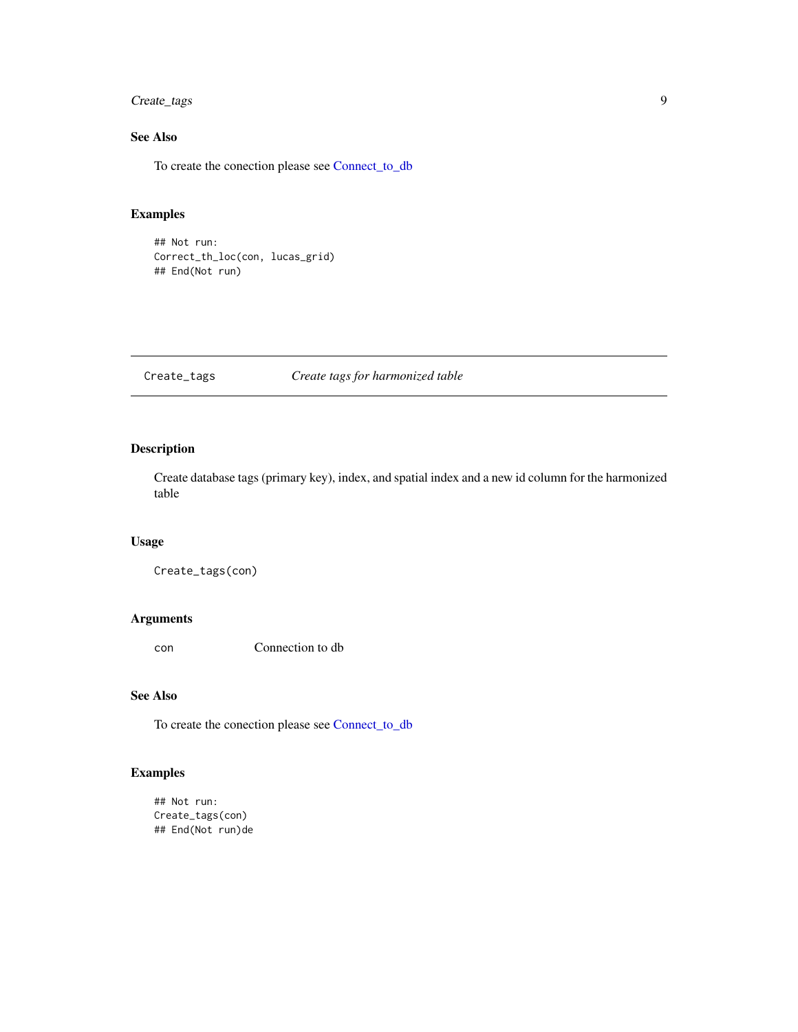# <span id="page-8-0"></span>Create\_tags 9

# See Also

To create the conection please see [Connect\\_to\\_db](#page-5-1)

# Examples

## Not run: Correct\_th\_loc(con, lucas\_grid) ## End(Not run)

# Create\_tags *Create tags for harmonized table*

# Description

Create database tags (primary key), index, and spatial index and a new id column for the harmonized table

#### Usage

Create\_tags(con)

### Arguments

con Connection to db

# See Also

To create the conection please see [Connect\\_to\\_db](#page-5-1)

# Examples

## Not run: Create\_tags(con) ## End(Not run)de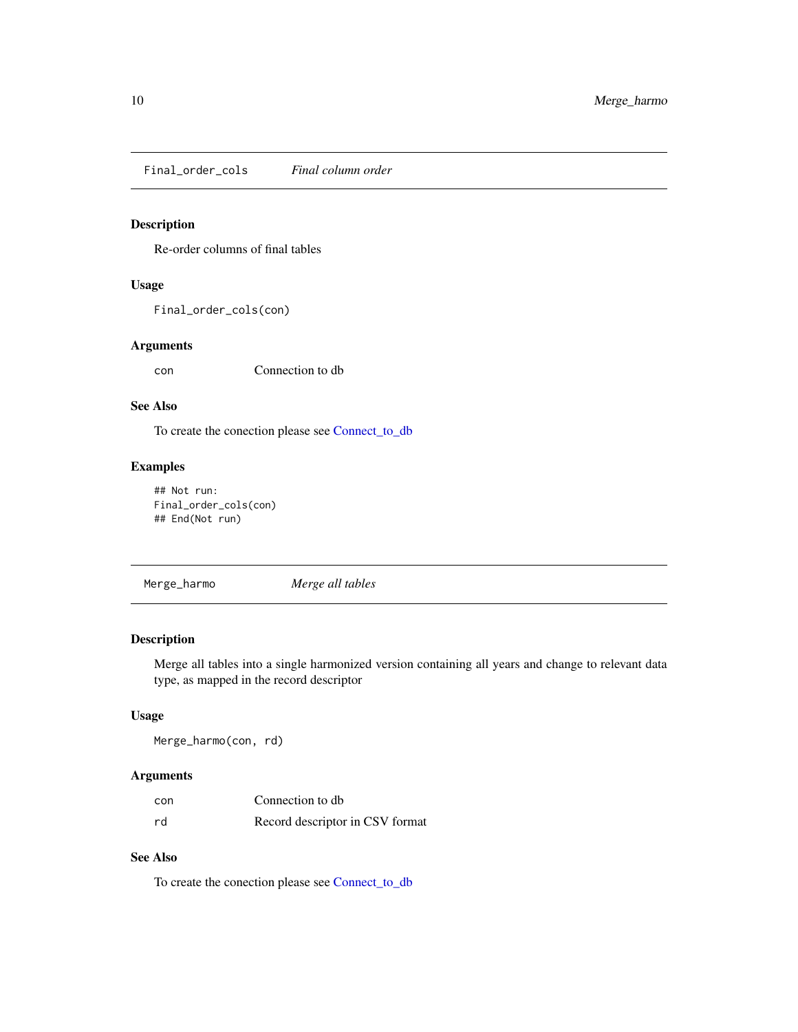<span id="page-9-0"></span>Final\_order\_cols *Final column order*

# Description

Re-order columns of final tables

#### Usage

Final\_order\_cols(con)

### Arguments

con Connection to db

#### See Also

To create the conection please see [Connect\\_to\\_db](#page-5-1)

# Examples

```
## Not run:
Final_order_cols(con)
## End(Not run)
```
Merge\_harmo *Merge all tables*

# Description

Merge all tables into a single harmonized version containing all years and change to relevant data type, as mapped in the record descriptor

#### Usage

Merge\_harmo(con, rd)

#### Arguments

| con | Connection to db                |
|-----|---------------------------------|
| rd  | Record descriptor in CSV format |

# See Also

To create the conection please see [Connect\\_to\\_db](#page-5-1)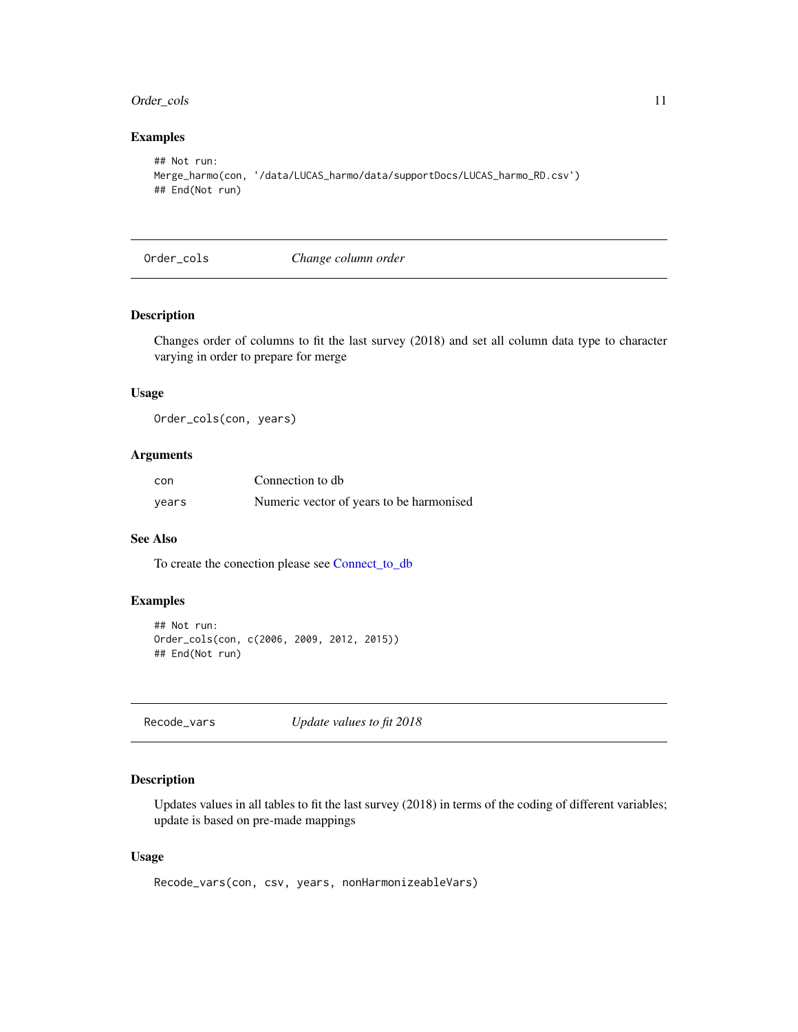# <span id="page-10-0"></span>Order\_cols 11

# Examples

```
## Not run:
Merge_harmo(con, '/data/LUCAS_harmo/data/supportDocs/LUCAS_harmo_RD.csv')
## End(Not run)
```
Order\_cols *Change column order*

# **Description**

Changes order of columns to fit the last survey (2018) and set all column data type to character varying in order to prepare for merge

# Usage

Order\_cols(con, years)

# Arguments

| con   | Connection to db                         |
|-------|------------------------------------------|
| years | Numeric vector of years to be harmonised |

### See Also

To create the conection please see [Connect\\_to\\_db](#page-5-1)

# Examples

```
## Not run:
Order_cols(con, c(2006, 2009, 2012, 2015))
## End(Not run)
```
Recode\_vars *Update values to fit 2018*

### Description

Updates values in all tables to fit the last survey (2018) in terms of the coding of different variables; update is based on pre-made mappings

#### Usage

```
Recode_vars(con, csv, years, nonHarmonizeableVars)
```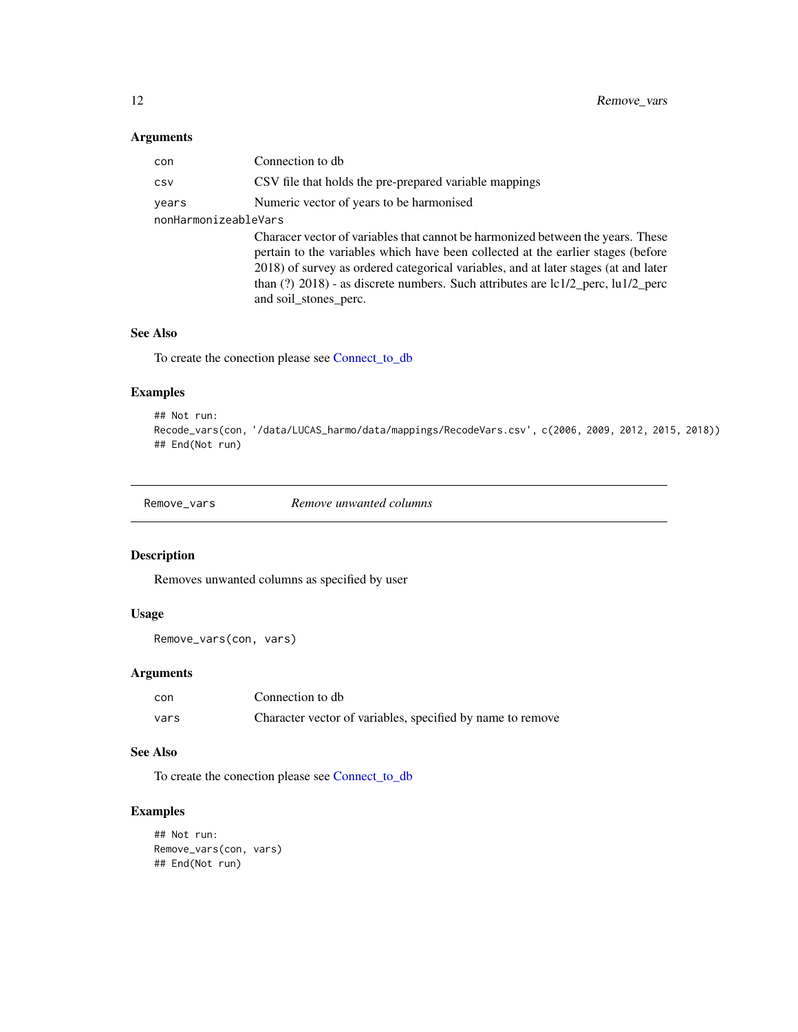# <span id="page-11-0"></span>Arguments

| con                  | Connection to db                                                                                                                                                                                                                                                                                                                                                              |
|----------------------|-------------------------------------------------------------------------------------------------------------------------------------------------------------------------------------------------------------------------------------------------------------------------------------------------------------------------------------------------------------------------------|
| CSV                  | CSV file that holds the pre-prepared variable mappings                                                                                                                                                                                                                                                                                                                        |
| years                | Numeric vector of years to be harmonised                                                                                                                                                                                                                                                                                                                                      |
| nonHarmonizeableVars |                                                                                                                                                                                                                                                                                                                                                                               |
|                      | Characer vector of variables that cannot be harmonized between the years. These<br>pertain to the variables which have been collected at the earlier stages (before<br>2018) of survey as ordered categorical variables, and at later stages (at and later<br>than $(?)$ 2018) - as discrete numbers. Such attributes are $lc1/2$ perc, $lu1/2$ perc<br>and soil_stones_perc. |

#### See Also

To create the conection please see [Connect\\_to\\_db](#page-5-1)

# Examples

```
## Not run:
Recode_vars(con, '/data/LUCAS_harmo/data/mappings/RecodeVars.csv', c(2006, 2009, 2012, 2015, 2018))
## End(Not run)
```
Remove\_vars *Remove unwanted columns*

# Description

Removes unwanted columns as specified by user

# Usage

```
Remove_vars(con, vars)
```
# Arguments

| con  | Connection to db                                           |
|------|------------------------------------------------------------|
| vars | Character vector of variables, specified by name to remove |

# See Also

To create the conection please see [Connect\\_to\\_db](#page-5-1)

```
## Not run:
Remove_vars(con, vars)
## End(Not run)
```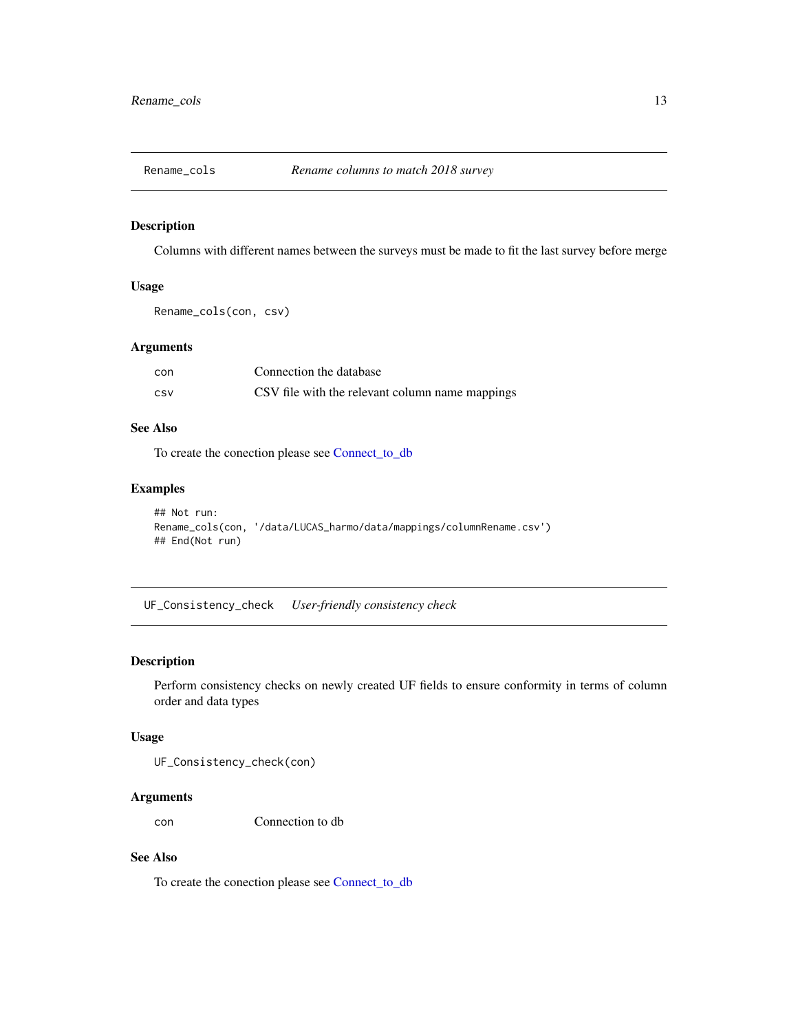<span id="page-12-0"></span>

#### Description

Columns with different names between the surveys must be made to fit the last survey before merge

# Usage

```
Rename_cols(con, csv)
```
## Arguments

| con | Connection the database                         |
|-----|-------------------------------------------------|
| CSV | CSV file with the relevant column name mappings |

# See Also

To create the conection please see [Connect\\_to\\_db](#page-5-1)

# Examples

```
## Not run:
Rename_cols(con, '/data/LUCAS_harmo/data/mappings/columnRename.csv')
## End(Not run)
```
UF\_Consistency\_check *User-friendly consistency check*

#### Description

Perform consistency checks on newly created UF fields to ensure conformity in terms of column order and data types

#### Usage

UF\_Consistency\_check(con)

## Arguments

con Connection to db

# See Also

To create the conection please see [Connect\\_to\\_db](#page-5-1)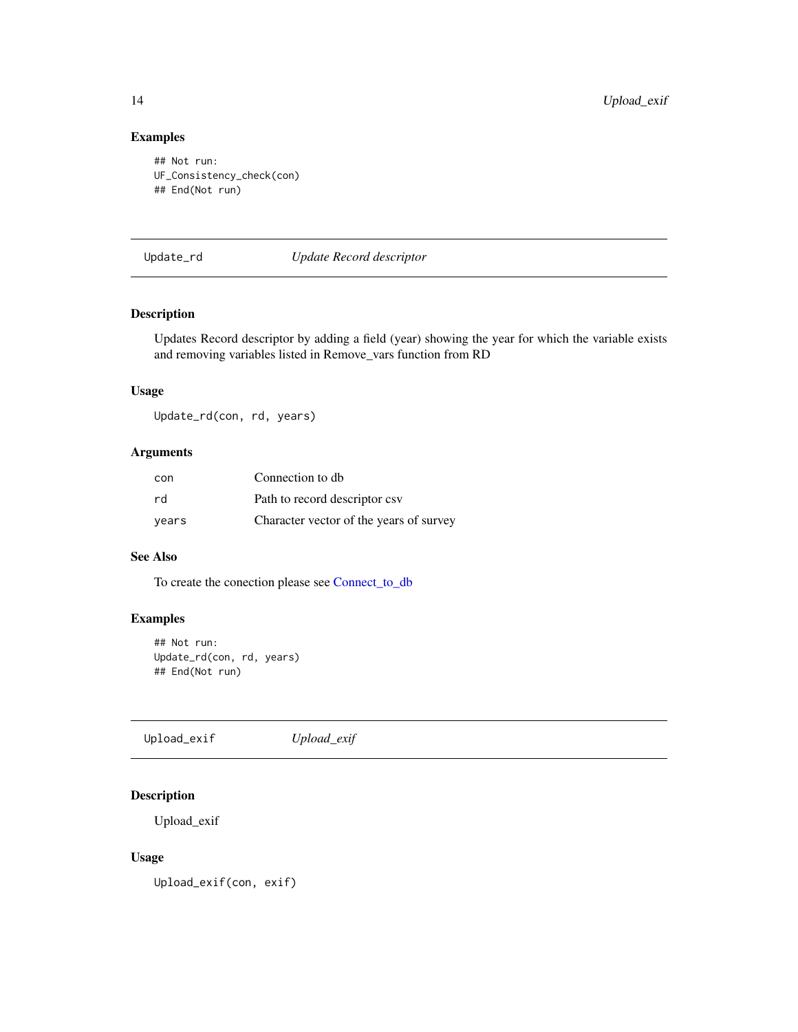# <span id="page-13-0"></span>Examples

```
## Not run:
UF_Consistency_check(con)
## End(Not run)
```
# Update\_rd *Update Record descriptor*

# Description

Updates Record descriptor by adding a field (year) showing the year for which the variable exists and removing variables listed in Remove\_vars function from RD

# Usage

Update\_rd(con, rd, years)

# Arguments

| con   | Connection to db                        |
|-------|-----------------------------------------|
| rd    | Path to record descriptor csv           |
| years | Character vector of the years of survey |

# See Also

To create the conection please see [Connect\\_to\\_db](#page-5-1)

# Examples

```
## Not run:
Update_rd(con, rd, years)
## End(Not run)
```
Upload\_exif *Upload\_exif*

# Description

Upload\_exif

# Usage

Upload\_exif(con, exif)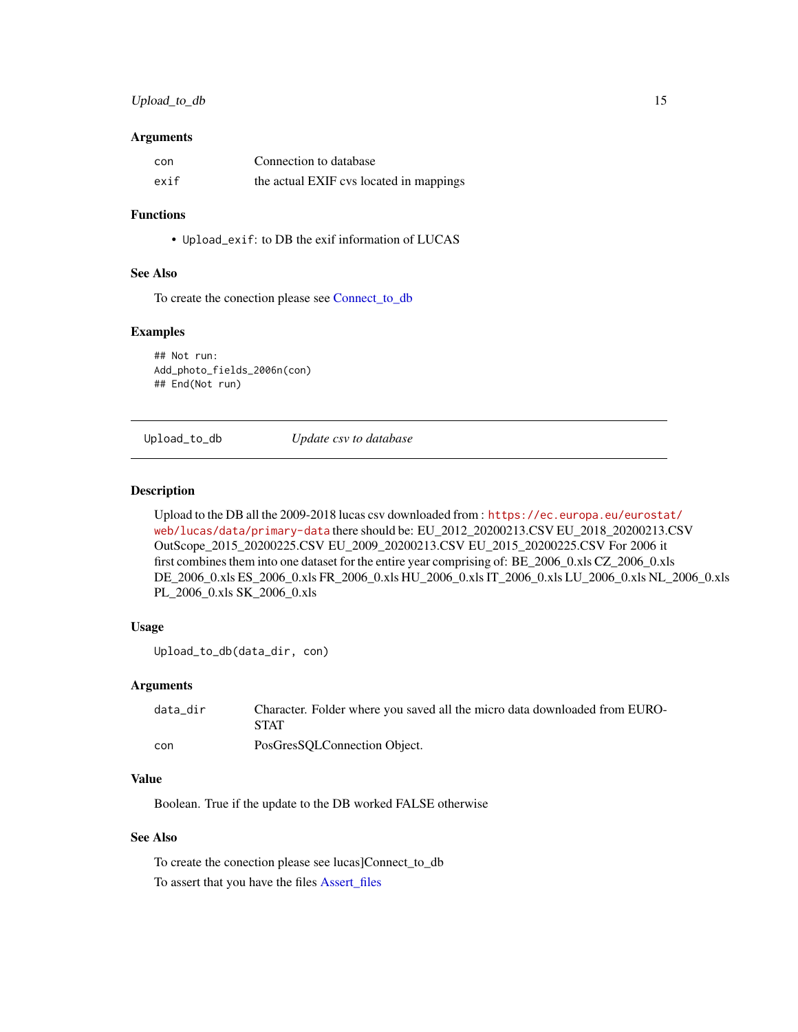# <span id="page-14-0"></span>Upload\_to\_db 15

#### **Arguments**

| con  | Connection to database                  |
|------|-----------------------------------------|
| exif | the actual EXIF cvs located in mappings |

#### Functions

• Upload\_exif: to DB the exif information of LUCAS

# See Also

To create the conection please see [Connect\\_to\\_db](#page-5-1)

#### Examples

## Not run: Add\_photo\_fields\_2006n(con) ## End(Not run)

Upload\_to\_db *Update csv to database*

#### Description

Upload to the DB all the 2009-2018 lucas csv downloaded from : [https://ec.europa.eu/eurosta](https://ec.europa.eu/eurostat/web/lucas/data/primary-data)t/ [web/lucas/data/primary-data](https://ec.europa.eu/eurostat/web/lucas/data/primary-data) there should be: EU\_2012\_20200213.CSV EU\_2018\_20200213.CSV OutScope\_2015\_20200225.CSV EU\_2009\_20200213.CSV EU\_2015\_20200225.CSV For 2006 it first combines them into one dataset for the entire year comprising of: BE\_2006\_0.xls CZ\_2006\_0.xls DE\_2006\_0.xls ES\_2006\_0.xls FR\_2006\_0.xls HU\_2006\_0.xls IT\_2006\_0.xls LU\_2006\_0.xls NL\_2006\_0.xls PL\_2006\_0.xls SK\_2006\_0.xls

# Usage

```
Upload_to_db(data_dir, con)
```
#### Arguments

| data dir | Character. Folder where you saved all the micro data downloaded from EURO-<br><b>STAT</b> |
|----------|-------------------------------------------------------------------------------------------|
| con      | PosGresSOLConnection Object.                                                              |

# Value

Boolean. True if the update to the DB worked FALSE otherwise

# See Also

To create the conection please see lucas]Connect\_to\_db To assert that you have the files [Assert\\_files](#page-4-1)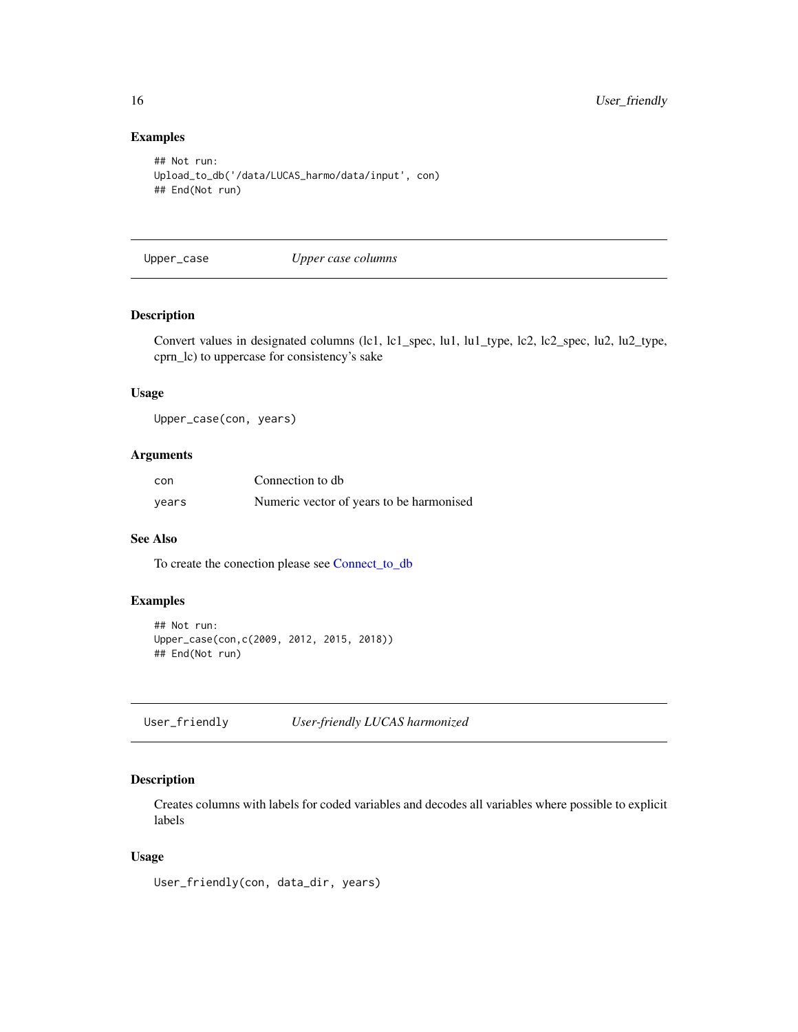# Examples

```
## Not run:
Upload_to_db('/data/LUCAS_harmo/data/input', con)
## End(Not run)
```
Upper\_case *Upper case columns*

# Description

Convert values in designated columns (lc1, lc1\_spec, lu1, lu1\_type, lc2, lc2\_spec, lu2, lu2\_type, cprn\_lc) to uppercase for consistency's sake

# Usage

Upper\_case(con, years)

# Arguments

| con   | Connection to db                         |
|-------|------------------------------------------|
| years | Numeric vector of years to be harmonised |

### See Also

To create the conection please see [Connect\\_to\\_db](#page-5-1)

# Examples

```
## Not run:
Upper_case(con,c(2009, 2012, 2015, 2018))
## End(Not run)
```
User\_friendly *User-friendly LUCAS harmonized*

# Description

Creates columns with labels for coded variables and decodes all variables where possible to explicit labels

#### Usage

User\_friendly(con, data\_dir, years)

<span id="page-15-0"></span>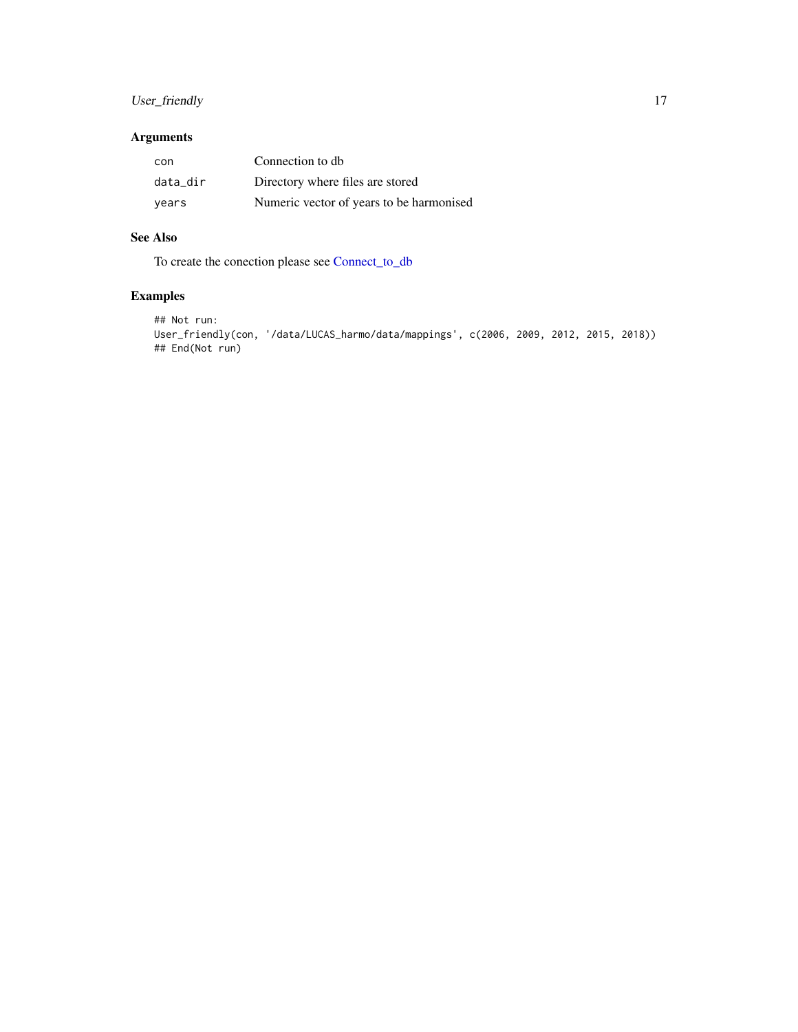# <span id="page-16-0"></span>User\_friendly 17

# Arguments

| con      | Connection to db                         |
|----------|------------------------------------------|
| data dir | Directory where files are stored         |
| vears    | Numeric vector of years to be harmonised |

# See Also

To create the conection please see [Connect\\_to\\_db](#page-5-1)

```
## Not run:
User_friendly(con, '/data/LUCAS_harmo/data/mappings', c(2006, 2009, 2012, 2015, 2018))
## End(Not run)
```